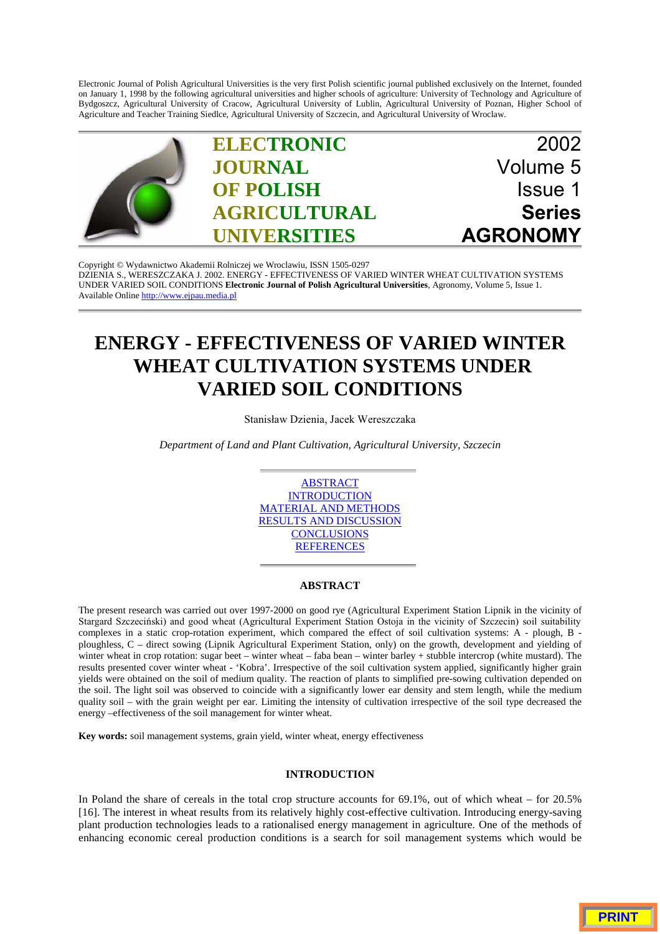Electronic Journal of Polish Agricultural Universities is the very first Polish scientific journal published exclusively on the Internet, founded on January 1, 1998 by the following agricultural universities and higher schools of agriculture: University of Technology and Agriculture of Bydgoszcz, Agricultural University of Cracow, Agricultural University of Lublin, Agricultural University of Poznan, Higher School of Agriculture and Teacher Training Siedlce, Agricultural University of Szczecin, and Agricultural University of Wroclaw.



Copyright © Wydawnictwo Akademii Rolniczej we Wroclawiu, ISSN 1505-0297 [DZIENIA S., WERESZCZAKA J. 2002. ENERGY - EFFECTIVENESS OF VARIED WINTER WHEAT CULTIVATION SYSTEMS](http://www.ejpau.media.pl) UNDER VARIED SOIL CONDITIONS **Electronic Journal of Polish Agricultural Universities**, Agronomy, Volume 5, Issue 1. Available Online http://www.ejpau.media.pl

# **ENERGY - EFFECTIVENESS OF VARIED WINTER WHEAT CULTIVATION SYSTEMS UNDER VARIED SOIL CONDITIONS**

Stanisław Dzienia, Jacek Wereszczaka

*Department of Land and Plant Cultivation, Agricultural University, Szczecin*



# **ABSTRACT**

The present research was carried out over 1997-2000 on good rye (Agricultural Experiment Station Lipnik in the vicinity of Stargard Szczeciński) and good wheat (Agricultural Experiment Station Ostoja in the vicinity of Szczecin) soil suitability complexes in a static crop-rotation experiment, which compared the effect of soil cultivation systems: A - plough, B ploughless, C – direct sowing (Lipnik Agricultural Experiment Station, only) on the growth, development and yielding of winter wheat in crop rotation: sugar beet – winter wheat – faba bean – winter barley + stubble intercrop (white mustard). The results presented cover winter wheat - 'Kobra'. Irrespective of the soil cultivation system applied, significantly higher grain yields were obtained on the soil of medium quality. The reaction of plants to simplified pre-sowing cultivation depended on the soil. The light soil was observed to coincide with a significantly lower ear density and stem length, while the medium quality soil – with the grain weight per ear. Limiting the intensity of cultivation irrespective of the soil type decreased the energy –effectiveness of the soil management for winter wheat.

**Key words:** soil management systems, grain yield, winter wheat, energy effectiveness

# **INTRODUCTION**

In Poland the share of cereals in the total crop structure accounts for 69.1%, out of which wheat – for 20.5% [16]. The interest in wheat results from its relatively highly cost-effective cultivation. Introducing energy-saving plant production technologies leads to a rationalised energy management in agriculture. One of the methods of enhancing economic cereal production conditions is a search for soil management systems which would be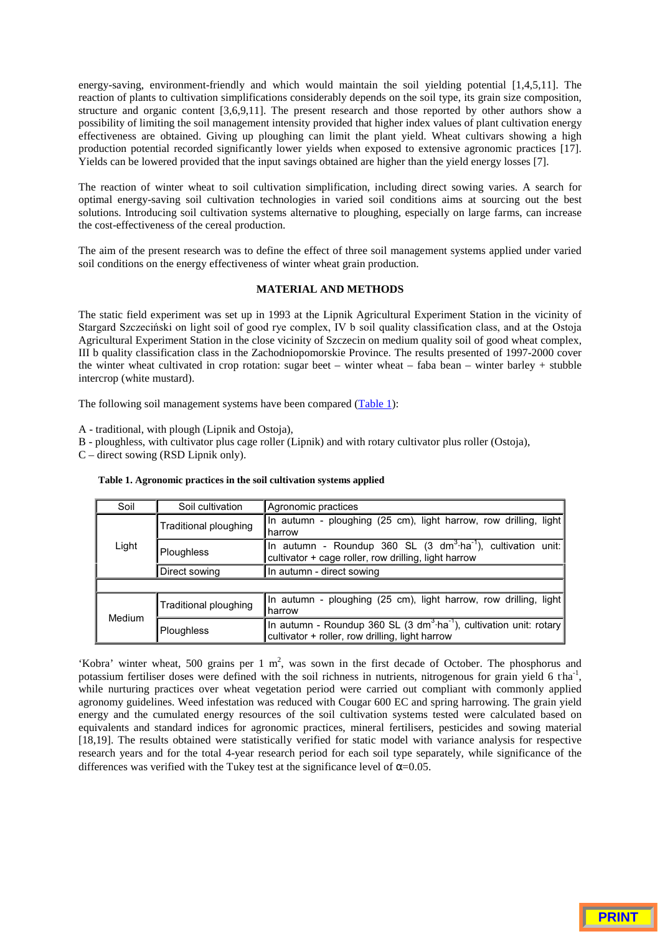energy-saving, environment-friendly and which would maintain the soil yielding potential [1,4,5,11]. The reaction of plants to cultivation simplifications considerably depends on the soil type, its grain size composition, structure and organic content [3,6,9,11]. The present research and those reported by other authors show a possibility of limiting the soil management intensity provided that higher index values of plant cultivation energy effectiveness are obtained. Giving up ploughing can limit the plant yield. Wheat cultivars showing a high production potential recorded significantly lower yields when exposed to extensive agronomic practices [17]. Yields can be lowered provided that the input savings obtained are higher than the yield energy losses [7].

The reaction of winter wheat to soil cultivation simplification, including direct sowing varies. A search for optimal energy-saving soil cultivation technologies in varied soil conditions aims at sourcing out the best solutions. Introducing soil cultivation systems alternative to ploughing, especially on large farms, can increase the cost-effectiveness of the cereal production.

The aim of the present research was to define the effect of three soil management systems applied under varied soil conditions on the energy effectiveness of winter wheat grain production.

# **MATERIAL AND METHODS**

The static field experiment was set up in 1993 at the Lipnik Agricultural Experiment Station in the vicinity of Stargard Szczeciński on light soil of good rye complex, IV b soil quality classification class, and at the Ostoja Agricultural Experiment Station in the close vicinity of Szczecin on medium quality soil of good wheat complex, III b quality classification class in the Zachodniopomorskie Province. The results presented of 1997-2000 cover the winter wheat cultivated in crop rotation: sugar beet – winter wheat – faba bean – winter barley + stubble intercrop (white mustard).

The following soil management systems have been compared (Table 1):

A - traditional, with plough (Lipnik and Ostoja),

B - ploughless, with cultivator plus cage roller (Lipnik) and with rotary cultivator plus roller (Ostoja),

C – direct sowing (RSD Lipnik only).

| Soil          | Soil cultivation      | Agronomic practices                                                                                                                            |
|---------------|-----------------------|------------------------------------------------------------------------------------------------------------------------------------------------|
| Light         | Traditional ploughing | In autumn - ploughing (25 cm), light harrow, row drilling, light<br><b>harrow</b>                                                              |
|               | Ploughless            | In autumn - Roundup 360 SL (3 dm <sup>3</sup> ·ha <sup>-1</sup> ), cultivation unit:<br>cultivator + cage roller, row drilling, light harrow   |
|               | Direct sowing         | In autumn - direct sowing                                                                                                                      |
|               |                       |                                                                                                                                                |
| <b>Medium</b> | Traditional ploughing | In autumn - ploughing (25 cm), light harrow, row drilling, light<br><b>harrow</b>                                                              |
|               | Ploughless            | In autumn - Roundup 360 SL (3 dm <sup>3</sup> ·ha <sup>-1</sup> ), cultivation unit: rotary<br>cultivator + roller, row drilling, light harrow |

#### **Table 1. Agronomic practices in the soil cultivation systems applied**

'Kobra' winter wheat, 500 grains per 1  $m^2$ , was sown in the first decade of October. The phosphorus and potassium fertiliser doses were defined with the soil richness in nutrients, nitrogenous for grain yield 6 tha<sup>-1</sup>, while nurturing practices over wheat vegetation period were carried out compliant with commonly applied agronomy guidelines. Weed infestation was reduced with Cougar 600 EC and spring harrowing. The grain yield energy and the cumulated energy resources of the soil cultivation systems tested were calculated based on equivalents and standard indices for agronomic practices, mineral fertilisers, pesticides and sowing material [18,19]. The results obtained were statistically verified for static model with variance analysis for respective research years and for the total 4-year research period for each soil type separately, while significance of the differences was verified with the Tukey test at the significance level of  $\alpha$ =0.05.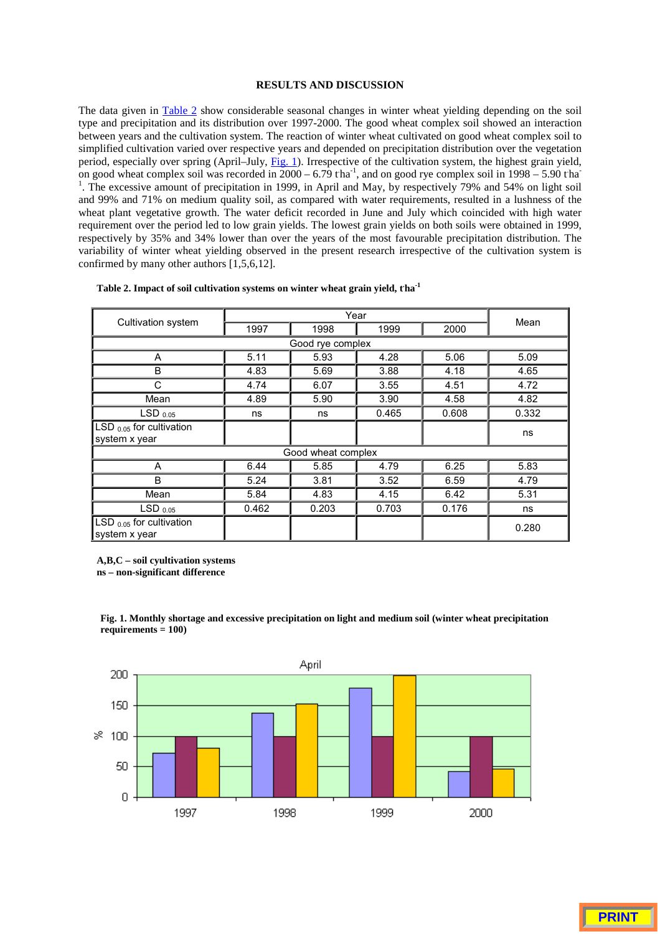# **RESULTS AND DISCUSSION**

The data given in Table 2 show considerable seasonal changes in winter wheat yielding depending on the soil type and precipitation and its distribution over 1997-2000. The good wheat complex soil showed an interaction between years and the cultivation system. The reaction of winter wheat cultivated on good wheat complex soil to simplified cultivation varied over respective years and depended on precipitation distribution over the vegetation period, especially over spring (April–July, Fig. 1). Irrespective of the cultivation system, the highest grain yield, on good wheat complex soil was recorded in  $2000 - 6.79$  tha<sup>-1</sup>, and on good rye complex soil in 1998 – 5.90 tha<sup>-1</sup> <sup>1</sup>. The excessive amount of precipitation in 1999, in April and May, by respectively 79% and 54% on light soil and 99% and 71% on medium quality soil, as compared with water requirements, resulted in a lushness of the wheat plant vegetative growth. The water deficit recorded in June and July which coincided with high water requirement over the period led to low grain yields. The lowest grain yields on both soils were obtained in 1999, respectively by 35% and 34% lower than over the years of the most favourable precipitation distribution. The variability of winter wheat yielding observed in the present research irrespective of the cultivation system is confirmed by many other authors [1,5,6,12].

| Cultivation system                             | 1997  | 1998             | 1999  | 2000  | Mean  |  |
|------------------------------------------------|-------|------------------|-------|-------|-------|--|
|                                                |       | Good rye complex |       |       |       |  |
| A                                              | 5.11  | 5.93             | 4.28  | 5.06  | 5.09  |  |
| B                                              | 4.83  | 5.69             | 3.88  | 4.18  | 4.65  |  |
| C                                              | 4.74  | 6.07             | 3.55  | 4.51  | 4.72  |  |
| Mean                                           | 4.89  | 5.90             | 3.90  | 4.58  | 4.82  |  |
| $LSD_{0.05}$                                   | ns    | ns               | 0.465 | 0.608 | 0.332 |  |
| $LSD_{0.05}$ for cultivation<br>system x year  |       |                  |       |       | ns    |  |
| Good wheat complex                             |       |                  |       |       |       |  |
| A                                              | 6.44  | 5.85             | 4.79  | 6.25  | 5.83  |  |
| B.                                             | 5.24  | 3.81             | 3.52  | 6.59  | 4.79  |  |
| Mean                                           | 5.84  | 4.83             | 4.15  | 6.42  | 5.31  |  |
| $LSD$ $_{0.05}$                                | 0.462 | 0.203            | 0.703 | 0.176 | ns    |  |
| LSD $_{0.05}$ for cultivation<br>system x year |       |                  |       |       | 0.280 |  |

|  | Table 2. Impact of soil cultivation systems on winter wheat grain yield, tha <sup>-1</sup> |  |  |
|--|--------------------------------------------------------------------------------------------|--|--|
|  |                                                                                            |  |  |
|  |                                                                                            |  |  |

**A,B,C – soil cyultivation systems ns – non-significant difference**



**Fig. 1. Monthly shortage and excessive precipitation on light and medium soil (winter wheat precipitation requirements = 100)**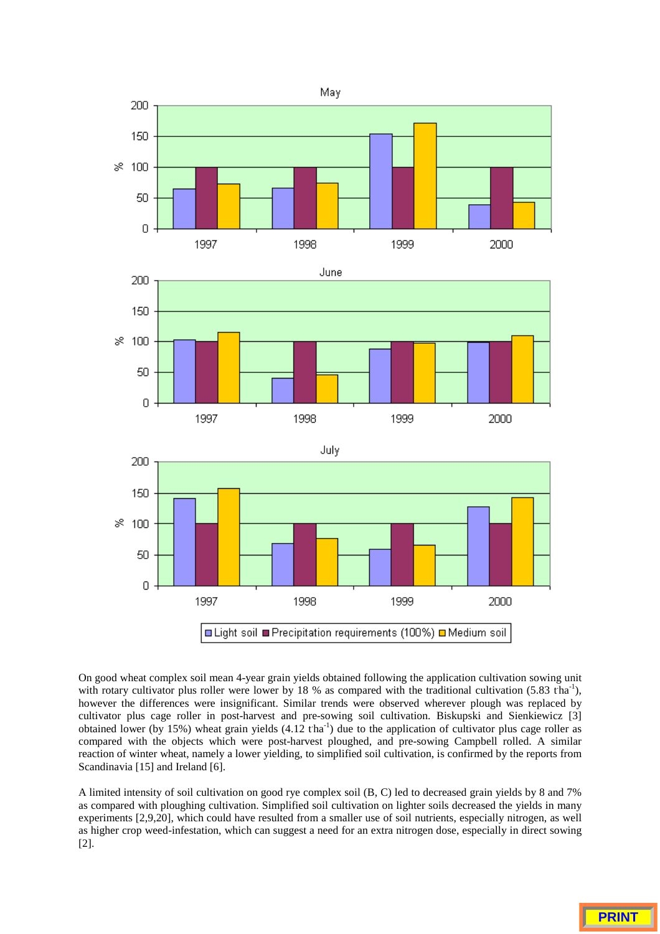



July



On good wheat complex soil mean 4-year grain yields obtained following the application cultivation sowing unit with rotary cultivator plus roller were lower by 18 % as compared with the traditional cultivation (5.83 tha<sup>-1</sup>), however the differences were insignificant. Similar trends were observed wherever plough was replaced by cultivator plus cage roller in post-harvest and pre-sowing soil cultivation. Biskupski and Sienkiewicz [3] obtained lower (by 15%) wheat grain yields  $(4.12 \text{ tha}^{-1})$  due to the application of cultivator plus cage roller as compared with the objects which were post-harvest ploughed, and pre-sowing Campbell rolled. A similar reaction of winter wheat, namely a lower yielding, to simplified soil cultivation, is confirmed by the reports from Scandinavia [15] and Ireland [6].

A limited intensity of soil cultivation on good rye complex soil (B, C) led to decreased grain yields by 8 and 7% as compared with ploughing cultivation. Simplified soil cultivation on lighter soils decreased the yields in many experiments [2,9,20], which could have resulted from a smaller use of soil nutrients, especially nitrogen, as well as higher crop weed-infestation, which can suggest a need for an extra nitrogen dose, especially in direct sowing [2].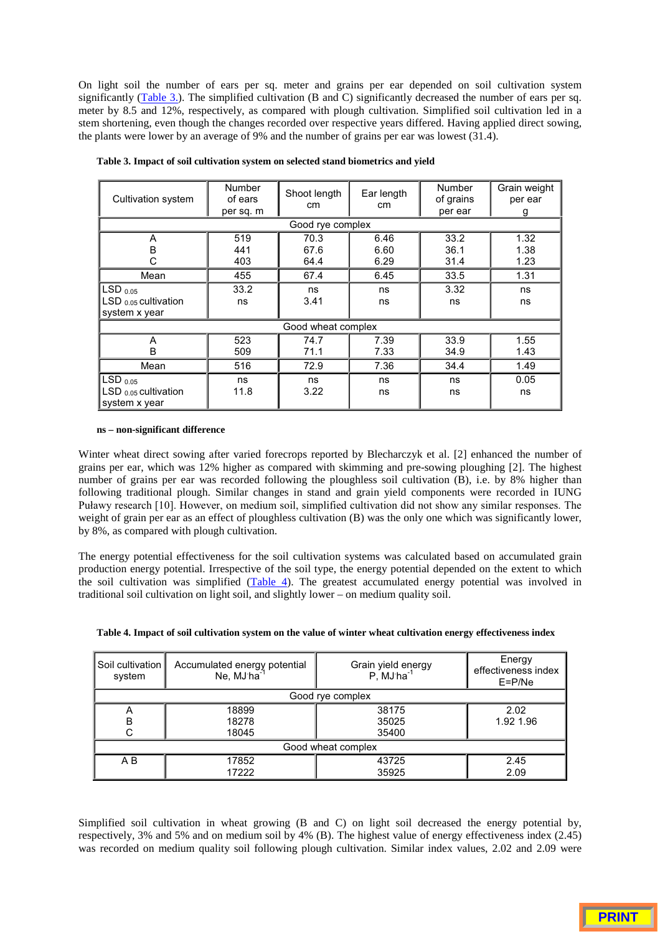On light soil the number of ears per sq. meter and grains per ear depended on soil cultivation system significantly  $(Table 3)$ . The simplified cultivation (B and C) significantly decreased the number of ears per sq. meter by 8.5 and 12%, respectively, as compared with plough cultivation. Simplified soil cultivation led in a stem shortening, even though the changes recorded over respective years differed. Having applied direct sowing, the plants were lower by an average of 9% and the number of grains per ear was lowest (31.4).

| Cultivation system                                           | Number<br>of ears<br>per sq. m | Shoot length<br>cm   | Ear length<br>cm     | Number<br>of grains<br>per ear | Grain weight<br>per ear<br>g |  |
|--------------------------------------------------------------|--------------------------------|----------------------|----------------------|--------------------------------|------------------------------|--|
|                                                              |                                | Good rye complex     |                      |                                |                              |  |
| A<br>B<br>C                                                  | 519<br>441<br>403              | 70.3<br>67.6<br>64.4 | 6.46<br>6.60<br>6.29 | 33.2<br>36.1<br>31.4           | 1.32<br>1.38<br>1.23         |  |
| Mean                                                         | 455                            | 67.4                 | 6.45                 | 33.5                           | 1.31                         |  |
| $LSD$ $_{0.05}$<br>$LSD_{0.05}$ cultivation<br>system x year | 33.2<br>ns                     | ns<br>3.41           | ns<br>ns             | 3.32<br>ns                     | ns<br>ns                     |  |
| Good wheat complex                                           |                                |                      |                      |                                |                              |  |
| A<br>B                                                       | 523<br>509                     | 74.7<br>71.1         | 7.39<br>7.33         | 33.9<br>34.9                   | 1.55<br>1.43                 |  |
| Mean                                                         | 516                            | 72.9                 | 7.36                 | 34.4                           | 1.49                         |  |
| $LSD$ $_{0.05}$<br>$LSD_{0.05}$ cultivation<br>system x year | ns<br>11.8                     | ns<br>3.22           | ns<br>ns             | ns<br>ns                       | 0.05<br>ns                   |  |

**Table 3. Impact of soil cultivation system on selected stand biometrics and yield**

#### **ns – non-significant difference**

Winter wheat direct sowing after varied forecrops reported by Blecharczyk et al. [2] enhanced the number of grains per ear, which was 12% higher as compared with skimming and pre-sowing ploughing [2]. The highest number of grains per ear was recorded following the ploughless soil cultivation (B), i.e. by 8% higher than following traditional plough. Similar changes in stand and grain yield components were recorded in IUNG Puławy research [10]. However, on medium soil, simplified cultivation did not show any similar responses. The weight of grain per ear as an effect of ploughless cultivation (B) was the only one which was significantly lower, by 8%, as compared with plough cultivation.

The energy potential effectiveness for the soil cultivation systems was calculated based on accumulated grain production energy potential. Irrespective of the soil type, the energy potential depended on the extent to which the soil cultivation was simplified (Table 4). The greatest accumulated energy potential was involved in traditional soil cultivation on light soil, and slightly lower – on medium quality soil.

| Soil cultivation<br>system | Accumulated energy potential<br>Ne, MJ ha <sup>-1</sup> | Grain yield energy<br>P, MJ ha <sup>-1</sup> | Energy<br>effectiveness index<br>$E = P/Ne$ |  |  |  |  |
|----------------------------|---------------------------------------------------------|----------------------------------------------|---------------------------------------------|--|--|--|--|
|                            | Good rye complex                                        |                                              |                                             |  |  |  |  |
| А                          | 18899                                                   | 38175                                        | 2.02                                        |  |  |  |  |
| в                          | 18278                                                   | 35025                                        | 1.92 1.96                                   |  |  |  |  |
|                            | 18045                                                   | 35400                                        |                                             |  |  |  |  |
| Good wheat complex         |                                                         |                                              |                                             |  |  |  |  |
| A B                        | 17852                                                   | 43725                                        | 2.45                                        |  |  |  |  |
|                            | 17222                                                   | 35925                                        | 2.09                                        |  |  |  |  |

|  |  |  | Table 4. Impact of soil cultivation system on the value of winter wheat cultivation energy effectiveness index |  |
|--|--|--|----------------------------------------------------------------------------------------------------------------|--|
|  |  |  |                                                                                                                |  |
|  |  |  |                                                                                                                |  |

Simplified soil cultivation in wheat growing (B and C) on light soil decreased the energy potential by, respectively, 3% and 5% and on medium soil by 4% (B). The highest value of energy effectiveness index (2.45) was recorded on medium quality soil following plough cultivation. Similar index values, 2.02 and 2.09 were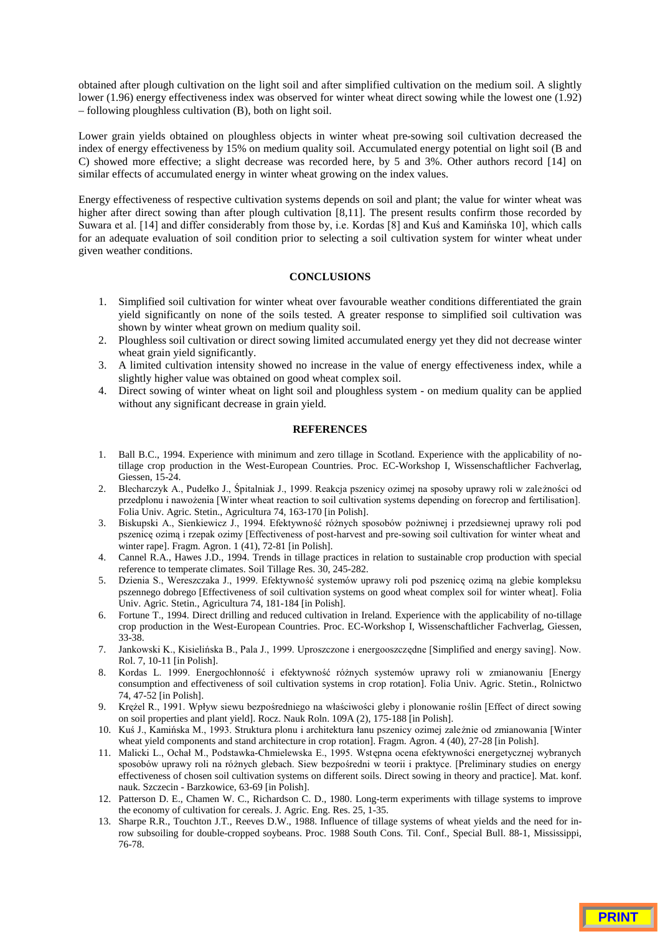obtained after plough cultivation on the light soil and after simplified cultivation on the medium soil. A slightly lower (1.96) energy effectiveness index was observed for winter wheat direct sowing while the lowest one (1.92) – following ploughless cultivation (B), both on light soil.

Lower grain yields obtained on ploughless objects in winter wheat pre-sowing soil cultivation decreased the index of energy effectiveness by 15% on medium quality soil. Accumulated energy potential on light soil (B and C) showed more effective; a slight decrease was recorded here, by 5 and 3%. Other authors record [14] on similar effects of accumulated energy in winter wheat growing on the index values.

Energy effectiveness of respective cultivation systems depends on soil and plant; the value for winter wheat was higher after direct sowing than after plough cultivation [8,11]. The present results confirm those recorded by Suwara et al. [14] and differ considerably from those by, i.e. Kordas [8] and Kuś and Kamińska 10], which calls for an adequate evaluation of soil condition prior to selecting a soil cultivation system for winter wheat under given weather conditions.

# **CONCLUSIONS**

- 1. Simplified soil cultivation for winter wheat over favourable weather conditions differentiated the grain yield significantly on none of the soils tested. A greater response to simplified soil cultivation was shown by winter wheat grown on medium quality soil.
- 2. Ploughless soil cultivation or direct sowing limited accumulated energy yet they did not decrease winter wheat grain yield significantly.
- 3. A limited cultivation intensity showed no increase in the value of energy effectiveness index, while a slightly higher value was obtained on good wheat complex soil.
- 4. Direct sowing of winter wheat on light soil and ploughless system on medium quality can be applied without any significant decrease in grain yield.

# **REFERENCES**

- 1. Ball B.C., 1994. Experience with minimum and zero tillage in Scotland. Experience with the applicability of notillage crop production in the West-European Countries. Proc. EC-Workshop I, Wissenschaftlicher Fachverlag, Giessen, 15-24.
- 2. Blecharczyk A., Pudełko J., Śpitalniak J., 1999. Reakcja pszenicy ozimej na sposoby uprawy roli w zależności od przedplonu i nawożenia [Winter wheat reaction to soil cultivation systems depending on forecrop and fertilisation]. Folia Univ. Agric. Stetin., Agricultura 74, 163-170 [in Polish].
- 3. Biskupski A., Sienkiewicz J., 1994. Efektywność różnych sposobów pożniwnej i przedsiewnej uprawy roli pod pszenicę ozimą i rzepak ozimy [Effectiveness of post-harvest and pre-sowing soil cultivation for winter wheat and winter rape]. Fragm. Agron. 1 (41), 72-81 [in Polish].
- 4. Cannel R.A., Hawes J.D., 1994. Trends in tillage practices in relation to sustainable crop production with special reference to temperate climates. Soil Tillage Res. 30, 245-282.
- 5. Dzienia S., Wereszczaka J., 1999. Efektywność systemów uprawy roli pod pszenicę ozimą na glebie kompleksu pszennego dobrego [Effectiveness of soil cultivation systems on good wheat complex soil for winter wheat]. Folia Univ. Agric. Stetin., Agricultura 74, 181-184 [in Polish].
- 6. Fortune T., 1994. Direct drilling and reduced cultivation in Ireland. Experience with the applicability of no-tillage crop production in the West-European Countries. Proc. EC-Workshop I, Wissenschaftlicher Fachverlag, Giessen, 33-38.
- 7. Jankowski K., Kisielińska B., Pala J., 1999. Uproszczone i energooszczędne [Simplified and energy saving]. Now. Rol. 7, 10-11 [in Polish].
- 8. Kordas L. 1999. Energochłonność i efektywność różnych systemów uprawy roli w zmianowaniu [Energy consumption and effectiveness of soil cultivation systems in crop rotation]. Folia Univ. Agric. Stetin., Rolnictwo 74, 47-52 [in Polish].
- 9. Krężel R., 1991. Wpływ siewu bezpośredniego na właściwości gleby i plonowanie roślin [Effect of direct sowing on soil properties and plant yield]. Rocz. Nauk Roln. 109A (2), 175-188 [in Polish].
- 10. Kuś J., Kamińska M., 1993. Struktura plonu i architektura łanu pszenicy ozimej zależnie od zmianowania [Winter wheat yield components and stand architecture in crop rotation]. Fragm. Agron. 4 (40), 27-28 [in Polish].
- 11. Malicki L., Ochał M., Podstawka-Chmielewska E., 1995. Wstępna ocena efektywności energetycznej wybranych sposobów uprawy roli na różnych glebach. Siew bezpośredni w teorii i praktyce. [Preliminary studies on energy effectiveness of chosen soil cultivation systems on different soils. Direct sowing in theory and practice]. Mat. konf. nauk. Szczecin - Barzkowice, 63-69 [in Polish].
- 12. Patterson D. E., Chamen W. C., Richardson C. D., 1980. Long-term experiments with tillage systems to improve the economy of cultivation for cereals. J. Agric. Eng. Res. 25, 1-35.
- 13. Sharpe R.R., Touchton J.T., Reeves D.W., 1988. Influence of tillage systems of wheat yields and the need for inrow subsoiling for double-cropped soybeans. Proc. 1988 South Cons. Til. Conf., Special Bull. 88-1, Mississippi, 76-78.